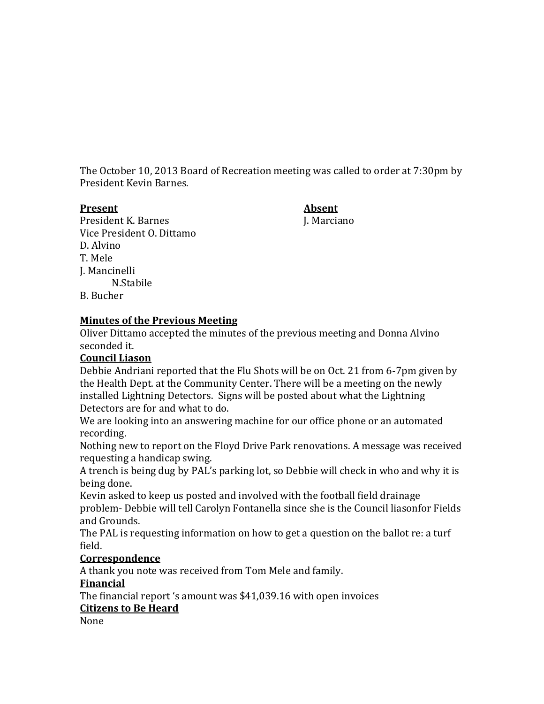The October 10, 2013 Board of Recreation meeting was called to order at 7:30pm by President Kevin Barnes.

#### **Present Absent**

President K. Barnes J. Marciano Vice President O. Dittamo D. Alvino T. Mele J. Mancinelli N.Stabile B. Bucher

# **Minutes of the Previous Meeting**

Oliver Dittamo accepted the minutes of the previous meeting and Donna Alvino seconded it.

## **Council Liason**

Debbie Andriani reported that the Flu Shots will be on Oct. 21 from 6-7pm given by the Health Dept. at the Community Center. There will be a meeting on the newly installed Lightning Detectors. Signs will be posted about what the Lightning Detectors are for and what to do.

We are looking into an answering machine for our office phone or an automated recording.

Nothing new to report on the Floyd Drive Park renovations. A message was received requesting a handicap swing.

A trench is being dug by PAL's parking lot, so Debbie will check in who and why it is being done.

Kevin asked to keep us posted and involved with the football field drainage problem- Debbie will tell Carolyn Fontanella since she is the Council liasonfor Fields and Grounds.

The PAL is requesting information on how to get a question on the ballot re: a turf field.

## **Correspondence**

A thank you note was received from Tom Mele and family.

## **Financial**

The financial report 's amount was \$41,039.16 with open invoices

## **Citizens to Be Heard**

None